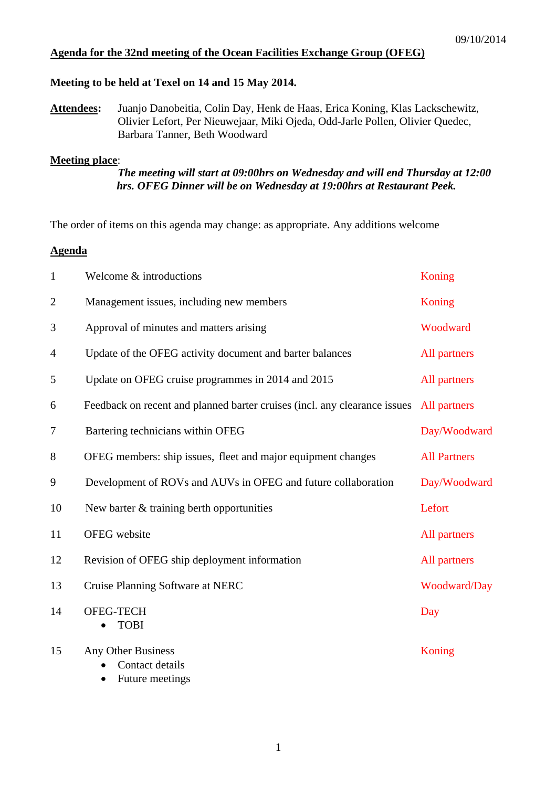### **Agenda for the 32nd meeting of the Ocean Facilities Exchange Group (OFEG)**

### **Meeting to be held at Texel on 14 and 15 May 2014.**

**Attendees:** Juanjo Danobeitia, Colin Day, Henk de Haas, Erica Koning, Klas Lackschewitz, Olivier Lefort, Per Nieuwejaar, Miki Ojeda, Odd-Jarle Pollen, Olivier Quedec, Barbara Tanner, Beth Woodward

### **Meeting place**:

## *The meeting will start at 09:00hrs on Wednesday and will end Thursday at 12:00 hrs. OFEG Dinner will be on Wednesday at 19:00hrs at Restaurant Peek.*

The order of items on this agenda may change: as appropriate. Any additions welcome

# **Agenda**

| $\mathbf{1}$   | Welcome & introductions                                                   | Koning              |
|----------------|---------------------------------------------------------------------------|---------------------|
| $\overline{2}$ | Management issues, including new members                                  | Koning              |
| 3              | Approval of minutes and matters arising                                   | Woodward            |
| 4              | Update of the OFEG activity document and barter balances                  | All partners        |
| 5              | Update on OFEG cruise programmes in 2014 and 2015                         | All partners        |
| 6              | Feedback on recent and planned barter cruises (incl. any clearance issues | All partners        |
| 7              | Bartering technicians within OFEG                                         | Day/Woodward        |
| 8              | OFEG members: ship issues, fleet and major equipment changes              | <b>All Partners</b> |
| 9              | Development of ROVs and AUVs in OFEG and future collaboration             | Day/Woodward        |
| 10             | New barter $&$ training berth opportunities                               | Lefort              |
| 11             | OFEG website                                                              | All partners        |
| 12             | Revision of OFEG ship deployment information                              | All partners        |
| 13             | Cruise Planning Software at NERC                                          | Woodward/Day        |
| 14             | OFEG-TECH<br><b>TOBI</b>                                                  | Day                 |
| 15             | <b>Any Other Business</b><br>Contact details                              | Koning              |

• Future meetings